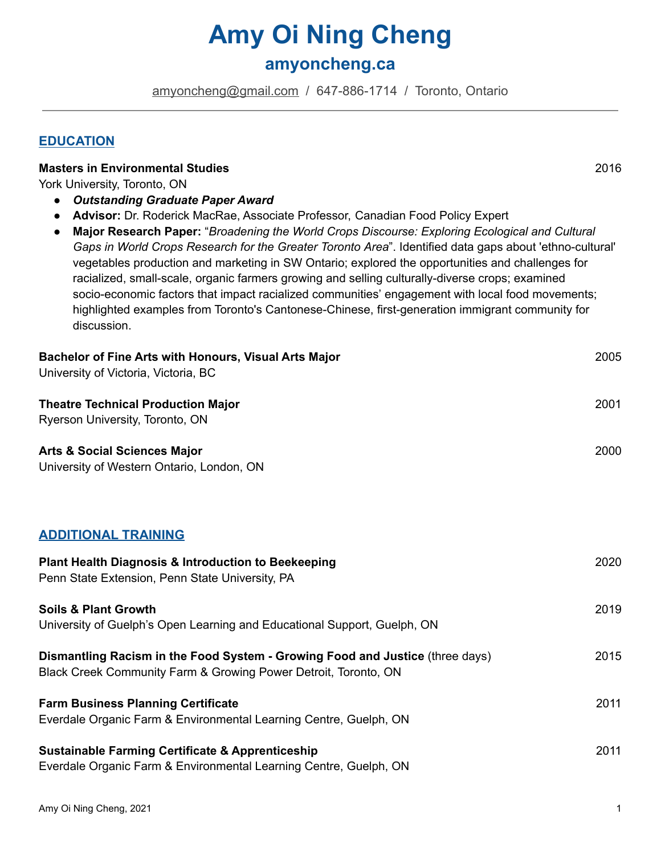# **Amy Oi Ning Cheng**

# **amyoncheng.ca**

[amyoncheng@gmail.com](mailto:amyoncheng@gmail.com) / 647-886-1714 / Toronto, Ontario

#### **EDUCATION**

| <b>Masters in Environmental Studies</b>                                                                     | 2016 |
|-------------------------------------------------------------------------------------------------------------|------|
| York University, Toronto, ON                                                                                |      |
| <b>Outstanding Graduate Paper Award</b><br>$\bullet$                                                        |      |
| Advisor: Dr. Roderick MacRae, Associate Professor, Canadian Food Policy Expert<br>$\bullet$                 |      |
| Major Research Paper: "Broadening the World Crops Discourse: Exploring Ecological and Cultural<br>$\bullet$ |      |
| Gaps in World Crops Research for the Greater Toronto Area". Identified data gaps about 'ethno-cultural'     |      |
| vegetables production and marketing in SW Ontario; explored the opportunities and challenges for            |      |
| racialized, small-scale, organic farmers growing and selling culturally-diverse crops; examined             |      |
| socio-economic factors that impact racialized communities' engagement with local food movements;            |      |
| highlighted examples from Toronto's Cantonese-Chinese, first-generation immigrant community for             |      |

discussion.

| Bachelor of Fine Arts with Honours, Visual Arts Major<br>University of Victoria, Victoria, BC                                                    | 2005 |
|--------------------------------------------------------------------------------------------------------------------------------------------------|------|
| <b>Theatre Technical Production Major</b><br>Ryerson University, Toronto, ON                                                                     | 2001 |
| <b>Arts &amp; Social Sciences Major</b><br>University of Western Ontario, London, ON                                                             | 2000 |
| <b>ADDITIONAL TRAINING</b>                                                                                                                       |      |
| <b>Plant Health Diagnosis &amp; Introduction to Beekeeping</b><br>Penn State Extension, Penn State University, PA                                | 2020 |
| <b>Soils &amp; Plant Growth</b><br>University of Guelph's Open Learning and Educational Support, Guelph, ON                                      | 2019 |
| Dismantling Racism in the Food System - Growing Food and Justice (three days)<br>Black Creek Community Farm & Growing Power Detroit, Toronto, ON | 2015 |
| <b>Farm Business Planning Certificate</b><br>Everdale Organic Farm & Environmental Learning Centre, Guelph, ON                                   | 2011 |
| <b>Sustainable Farming Certificate &amp; Apprenticeship</b><br>Everdale Organic Farm & Environmental Learning Centre, Guelph, ON                 | 2011 |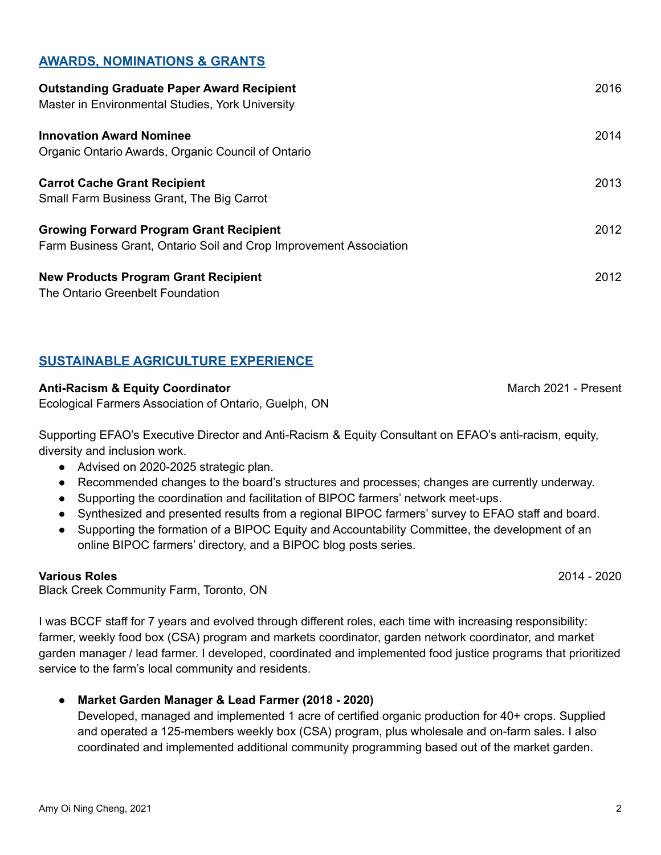# **AWARDS, NOMINATIONS & GRANTS**

| <b>Outstanding Graduate Paper Award Recipient</b><br>Master in Environmental Studies, York University                | 2016 |
|----------------------------------------------------------------------------------------------------------------------|------|
| <b>Innovation Award Nominee</b><br>Organic Ontario Awards, Organic Council of Ontario                                | 2014 |
| <b>Carrot Cache Grant Recipient</b><br>Small Farm Business Grant, The Big Carrot                                     | 2013 |
| <b>Growing Forward Program Grant Recipient</b><br>Farm Business Grant, Ontario Soil and Crop Improvement Association | 2012 |
| <b>New Products Program Grant Recipient</b><br>The Ontario Greenbelt Foundation                                      | 2012 |

# **SUSTAINABLE AGRICULTURE EXPERIENCE**

#### **Anti-Racism & Equity Coordinator** March 2021 - Present

Ecological Farmers Association of Ontario, Guelph, ON

Supporting EFAO's Executive Director and Anti-Racism & Equity Consultant on EFAO's anti-racism, equity, diversity and inclusion work.

- Advised on 2020-2025 strategic plan.
- Recommended changes to the board's structures and processes; changes are currently underway.
- Supporting the coordination and facilitation of BIPOC farmers' network meet-ups.
- Synthesized and presented results from a regional BIPOC farmers' survey to EFAO staff and board.
- Supporting the formation of a BIPOC Equity and Accountability Committee, the development of an online BIPOC farmers' directory, and a BIPOC blog posts series.

#### **Various Roles** 2014 - 2020

Black Creek Community Farm, Toronto, ON

I was BCCF staff for 7 years and evolved through different roles, each time with increasing responsibility: farmer, weekly food box (CSA) program and markets coordinator, garden network coordinator, and market garden manager / lead farmer. I developed, coordinated and implemented food justice programs that prioritized service to the farm's local community and residents.

● **Market Garden Manager & Lead Farmer (2018 - 2020)**

Developed, managed and implemented 1 acre of certified organic production for 40+ crops. Supplied and operated a 125-members weekly box (CSA) program, plus wholesale and on-farm sales. I also coordinated and implemented additional community programming based out of the market garden.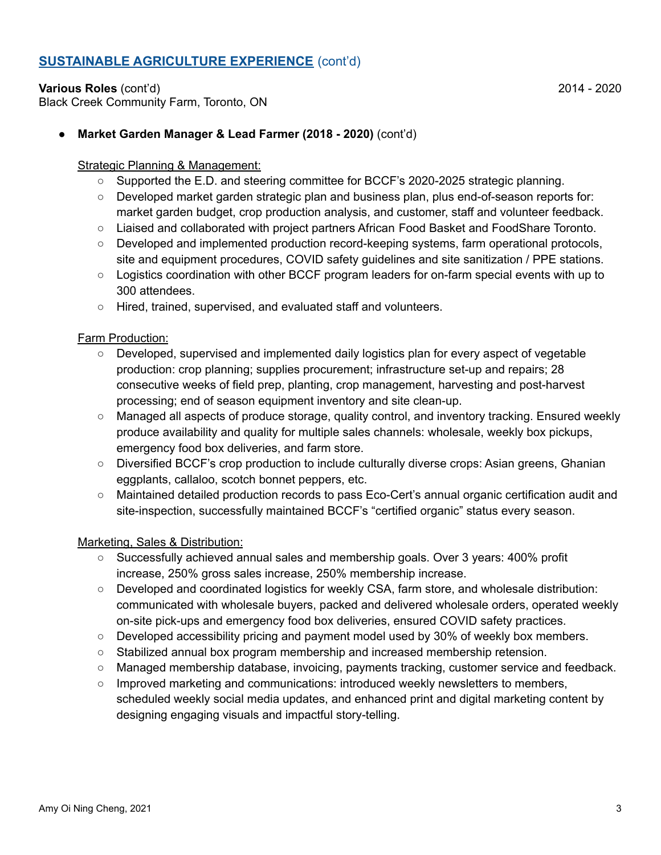# **SUSTAINABLE AGRICULTURE EXPERIENCE** (cont'd)

**Various Roles** (cont'd) 2014 - 2020 Black Creek Community Farm, Toronto, ON

#### Strategic Planning & Management:

- **○** Supported the E.D. and steering committee for BCCF's 2020-2025 strategic planning.
- Developed market garden strategic plan and business plan, plus end-of-season reports for: market garden budget, crop production analysis, and customer, staff and volunteer feedback.
- Liaised and collaborated with project partners African Food Basket and FoodShare Toronto.
- Developed and implemented production record-keeping systems, farm operational protocols, site and equipment procedures, COVID safety guidelines and site sanitization / PPE stations.
- Logistics coordination with other BCCF program leaders for on-farm special events with up to 300 attendees.
- Hired, trained, supervised, and evaluated staff and volunteers.

#### Farm Production:

- **○** Developed, supervised and implemented daily logistics plan for every aspect of vegetable production: crop planning; supplies procurement; infrastructure set-up and repairs; 28 consecutive weeks of field prep, planting, crop management, harvesting and post-harvest processing; end of season equipment inventory and site clean-up.
- **○** Managed all aspects of produce storage, quality control, and inventory tracking. Ensured weekly produce availability and quality for multiple sales channels: wholesale, weekly box pickups, emergency food box deliveries, and farm store.
- **○** Diversified BCCF's crop production to include culturally diverse crops: Asian greens, Ghanian eggplants, callaloo, scotch bonnet peppers, etc.
- **○** Maintained detailed production records to pass Eco-Cert's annual organic certification audit and site-inspection, successfully maintained BCCF's "certified organic" status every season.

#### Marketing, Sales & Distribution:

- **○** Successfully achieved annual sales and membership goals. Over 3 years: 400% profit increase, 250% gross sales increase, 250% membership increase.
- Developed and coordinated logistics for weekly CSA, farm store, and wholesale distribution: communicated with wholesale buyers, packed and delivered wholesale orders, operated weekly on-site pick-ups and emergency food box deliveries, ensured COVID safety practices.
- $\circ$  Developed accessibility pricing and payment model used by 30% of weekly box members.
- Stabilized annual box program membership and increased membership retension.
- Managed membership database, invoicing, payments tracking, customer service and feedback.
- Improved marketing and communications: introduced weekly newsletters to members, scheduled weekly social media updates, and enhanced print and digital marketing content by designing engaging visuals and impactful story-telling.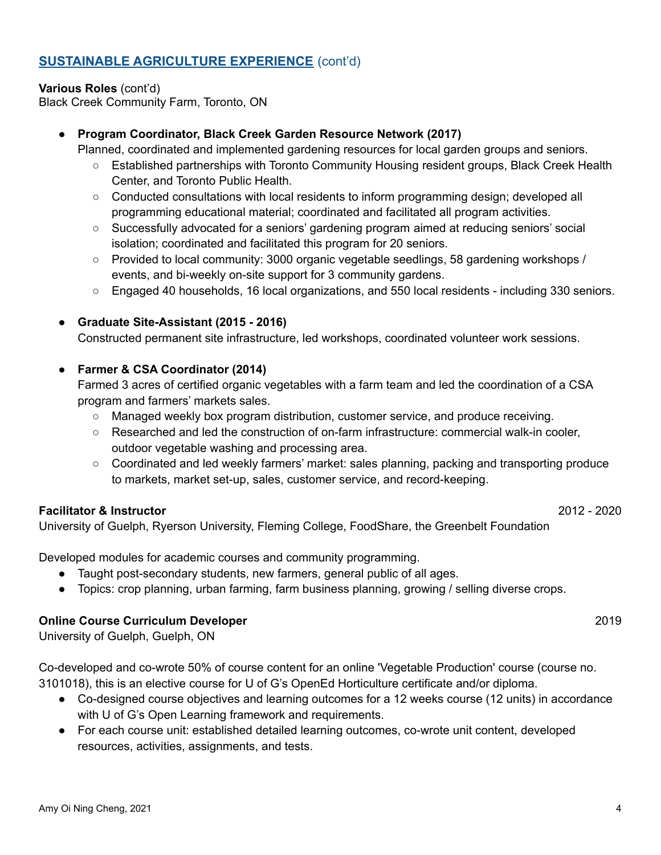# **SUSTAINABLE AGRICULTURE EXPERIENCE** (cont'd)

# **Various Roles** (cont'd)

Black Creek Community Farm, Toronto, ON

# ● **Program Coordinator, Black Creek Garden Resource Network (2017)**

Planned, coordinated and implemented gardening resources for local garden groups and seniors.

- Established partnerships with Toronto Community Housing resident groups, Black Creek Health Center, and Toronto Public Health.
- Conducted consultations with local residents to inform programming design; developed all programming educational material; coordinated and facilitated all program activities.
- **○** Successfully advocated for a seniors' gardening program aimed at reducing seniors' social isolation; coordinated and facilitated this program for 20 seniors.
- Provided to local community: 3000 organic vegetable seedlings, 58 gardening workshops / events, and bi-weekly on-site support for 3 community gardens.
- Engaged 40 households, 16 local organizations, and 550 local residents including 330 seniors.

# ● **Graduate Site-Assistant (2015 - 2016)**

Constructed permanent site infrastructure, led workshops, coordinated volunteer work sessions.

# **● Farmer & CSA Coordinator (2014)**

Farmed 3 acres of certified organic vegetables with a farm team and led the coordination of a CSA program and farmers' markets sales.

- Managed weekly box program distribution, customer service, and produce receiving.
- Researched and led the construction of on-farm infrastructure: commercial walk-in cooler, outdoor vegetable washing and processing area.
- Coordinated and led weekly farmers' market: sales planning, packing and transporting produce to markets, market set-up, sales, customer service, and record-keeping.

# **Facilitator & Instructor** 2012 - 2020

University of Guelph, Ryerson University, Fleming College, FoodShare, the Greenbelt Foundation

Developed modules for academic courses and community programming.

- Taught post-secondary students, new farmers, general public of all ages.
- Topics: crop planning, urban farming, farm business planning, growing / selling diverse crops.

# **Online Course Curriculum Developer** 2019

University of Guelph, Guelph, ON

Co-developed and co-wrote 50% of course content for an online 'Vegetable Production' course (course no. 3101018), this is an elective course for U of G's OpenEd Horticulture certificate and/or diploma.

- Co-designed course objectives and learning outcomes for a 12 weeks course (12 units) in accordance with U of G's Open Learning framework and requirements.
- For each course unit: established detailed learning outcomes, co-wrote unit content, developed resources, activities, assignments, and tests.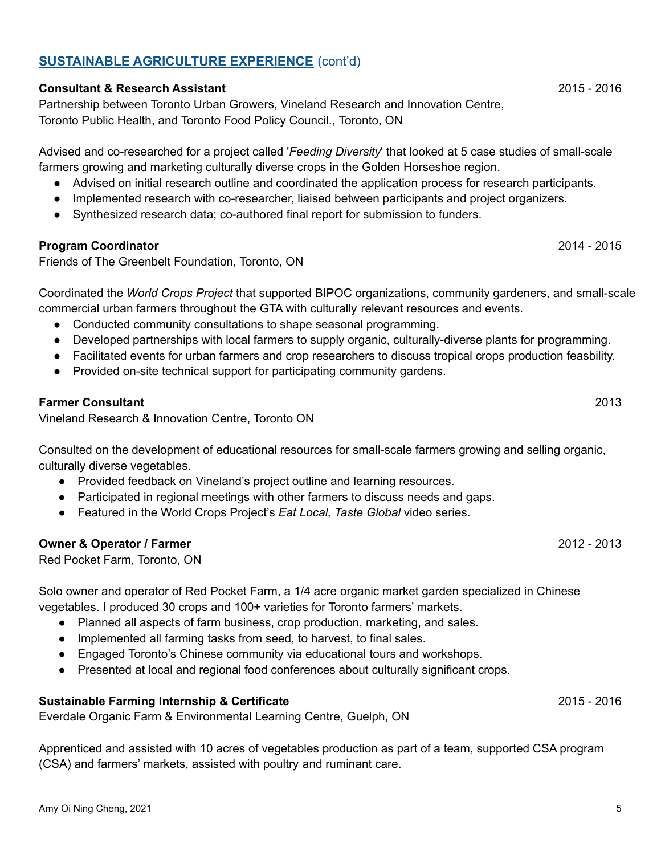# Amy Oi Ning Cheng, 2021 5

# **SUSTAINABLE AGRICULTURE EXPERIENCE** (cont'd)

#### **Consultant & Research Assistant** 2015 - 2016

Partnership between Toronto Urban Growers, Vineland Research and Innovation Centre, Toronto Public Health, and Toronto Food Policy Council., Toronto, ON

Advised and co-researched for a project called '*Feeding Diversity*' that looked at 5 case studies of small-scale farmers growing and marketing culturally diverse crops in the Golden Horseshoe region.

- Advised on initial research outline and coordinated the application process for research participants.
- Implemented research with co-researcher, liaised between participants and project organizers.
- Synthesized research data; co-authored final report for submission to funders.

#### **Program Coordinator** 2014 - 2015

Friends of The Greenbelt Foundation, Toronto, ON

Coordinated the *World Crops Project* that supported BIPOC organizations, community gardeners, and small-scale commercial urban farmers throughout the GTA with culturally relevant resources and events.

- Conducted community consultations to shape seasonal programming.
- Developed partnerships with local farmers to supply organic, culturally-diverse plants for programming.
- Facilitated events for urban farmers and crop researchers to discuss tropical crops production feasbility.
- Provided on-site technical support for participating community gardens.

#### **Farmer Consultant** 2013

Vineland Research & Innovation Centre, Toronto ON

Consulted on the development of educational resources for small-scale farmers growing and selling organic, culturally diverse vegetables.

- Provided feedback on Vineland's project outline and learning resources.
- Participated in regional meetings with other farmers to discuss needs and gaps.
- Featured in the World Crops Project's *Eat Local, Taste Global* video series.

#### **Owner & Operator / Farmer** 2012 - 2013

Red Pocket Farm, Toronto, ON

Solo owner and operator of Red Pocket Farm, a 1/4 acre organic market garden specialized in Chinese vegetables. I produced 30 crops and 100+ varieties for Toronto farmers' markets.

- Planned all aspects of farm business, crop production, marketing, and sales.
- Implemented all farming tasks from seed, to harvest, to final sales.
- Engaged Toronto's Chinese community via educational tours and workshops.
- Presented at local and regional food conferences about culturally significant crops.

# **Sustainable Farming Internship & Certificate** 2015 - 2016

Everdale Organic Farm & Environmental Learning Centre, Guelph, ON

Apprenticed and assisted with 10 acres of vegetables production as part of a team, supported CSA program (CSA) and farmers' markets, assisted with poultry and ruminant care.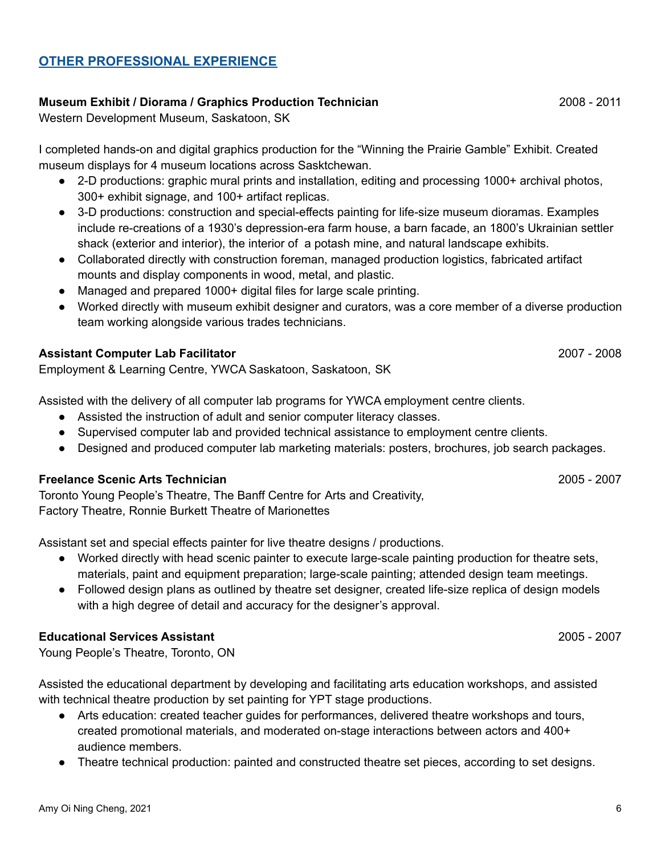# **OTHER PROFESSIONAL EXPERIENCE**

#### **Museum Exhibit / Diorama / Graphics Production Technician** 2008 - 2011

Western Development Museum, Saskatoon, SK

I completed hands-on and digital graphics production for the "Winning the Prairie Gamble" Exhibit. Created museum displays for 4 museum locations across Sasktchewan.

- 2-D productions: graphic mural prints and installation, editing and processing 1000+ archival photos, 300+ exhibit signage, and 100+ artifact replicas.
- 3-D productions: construction and special-effects painting for life-size museum dioramas. Examples include re-creations of a 1930's depression-era farm house, a barn facade, an 1800's Ukrainian settler shack (exterior and interior), the interior of a potash mine, and natural landscape exhibits.
- Collaborated directly with construction foreman, managed production logistics, fabricated artifact mounts and display components in wood, metal, and plastic.
- Managed and prepared 1000+ digital files for large scale printing.
- Worked directly with museum exhibit designer and curators, was a core member of a diverse production team working alongside various trades technicians.

#### **Assistant Computer Lab Facilitator** 2007 - 2008

Employment & Learning Centre, YWCA Saskatoon, Saskatoon, SK

Assisted with the delivery of all computer lab programs for YWCA employment centre clients.

- Assisted the instruction of adult and senior computer literacy classes.
- Supervised computer lab and provided technical assistance to employment centre clients.
- Designed and produced computer lab marketing materials: posters, brochures, job search packages.

#### **Freelance Scenic Arts Technician** 2005 - 2007

Toronto Young People's Theatre, The Banff Centre for Arts and Creativity, Factory Theatre, Ronnie Burkett Theatre of Marionettes

Assistant set and special effects painter for live theatre designs / productions.

- Worked directly with head scenic painter to execute large-scale painting production for theatre sets, materials, paint and equipment preparation; large-scale painting; attended design team meetings.
- Followed design plans as outlined by theatre set designer, created life-size replica of design models with a high degree of detail and accuracy for the designer's approval.

#### **Educational Services Assistant** 2005 - 2007

Young People's Theatre, Toronto, ON

Assisted the educational department by developing and facilitating arts education workshops, and assisted with technical theatre production by set painting for YPT stage productions.

- Arts education: created teacher guides for performances, delivered theatre workshops and tours, created promotional materials, and moderated on-stage interactions between actors and 400+ audience members.
- Theatre technical production: painted and constructed theatre set pieces, according to set designs.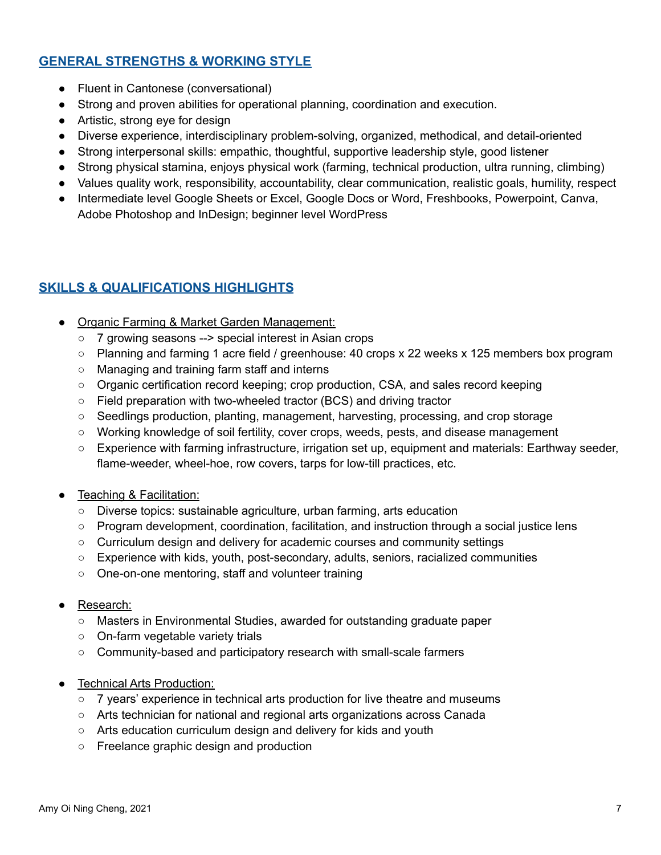# **GENERAL STRENGTHS & WORKING STYLE**

- Fluent in Cantonese (conversational)
- Strong and proven abilities for operational planning, coordination and execution.
- Artistic, strong eye for design
- Diverse experience, interdisciplinary problem-solving, organized, methodical, and detail-oriented
- Strong interpersonal skills: empathic, thoughtful, supportive leadership style, good listener
- Strong physical stamina, enjoys physical work (farming, technical production, ultra running, climbing)
- Values quality work, responsibility, accountability, clear communication, realistic goals, humility, respect
- Intermediate level Google Sheets or Excel, Google Docs or Word, Freshbooks, Powerpoint, Canva, Adobe Photoshop and InDesign; beginner level WordPress

# **SKILLS & QUALIFICATIONS HIGHLIGHTS**

- Organic Farming & Market Garden Management:
	- **○** 7 growing seasons --> special interest in Asian crops
	- **○** Planning and farming 1 acre field / greenhouse: 40 crops x 22 weeks x 125 members box program
	- Managing and training farm staff and interns
	- **○** Organic certification record keeping; crop production, CSA, and sales record keeping
	- **○** Field preparation with two-wheeled tractor (BCS) and driving tractor
	- **○** Seedlings production, planting, management, harvesting, processing, and crop storage
	- **○** Working knowledge of soil fertility, cover crops, weeds, pests, and disease management
	- **○** Experience with farming infrastructure, irrigation set up, equipment and materials: Earthway seeder, flame-weeder, wheel-hoe, row covers, tarps for low-till practices, etc.
- Teaching & Facilitation:
	- **○** Diverse topics: sustainable agriculture, urban farming, arts education
	- **○** Program development, coordination, facilitation, and instruction through a social justice lens
	- **○** Curriculum design and delivery for academic courses and community settings
	- Experience with kids, youth, post-secondary, adults, seniors, racialized communities
	- **○** One-on-one mentoring, staff and volunteer training
- Research:
	- **○** Masters in Environmental Studies, awarded for outstanding graduate paper
	- **○** On-farm vegetable variety trials
	- **○** Community-based and participatory research with small-scale farmers
- **Technical Arts Production:** 
	- **○** 7 years' experience in technical arts production for live theatre and museums
	- **○** Arts technician for national and regional arts organizations across Canada
	- **○** Arts education curriculum design and delivery for kids and youth
	- **○** Freelance graphic design and production